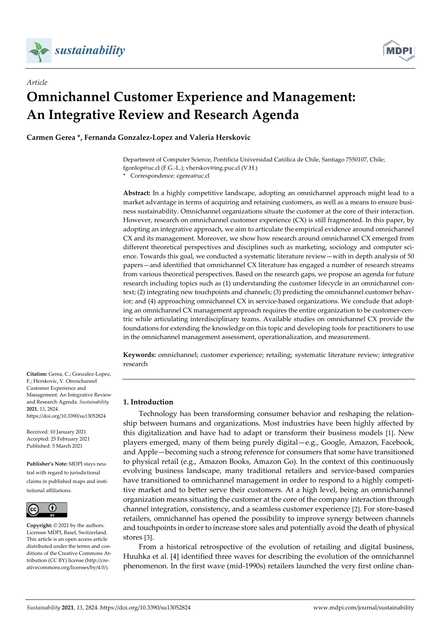

*Article*



# **Omnichannel Customer Experience and Management: An Integrative Review and Research Agenda**

**Carmen Gerea \*, Fernanda Gonzalez‐Lopez and Valeria Herskovic**

Department of Computer Science, Pontificia Universidad Católica de Chile, Santiago 7550107, Chile; fgonlop@uc.cl (F.G.‐L.); vherskov@ing.puc.cl (V.H.)

Correspondence: cgerea@uc.cl

**Abstract:** In a highly competitive landscape, adopting an omnichannel approach might lead to a market advantage in terms of acquiring and retaining customers, as well as a means to ensure business sustainability. Omnichannel organizations situate the customer at the core of their interaction. However, research on omnichannel customer experience (CX) is still fragmented. In this paper, by adopting an integrative approach, we aim to articulate the empirical evidence around omnichannel CX and its management. Moreover, we show how research around omnichannel CX emerged from different theoretical perspectives and disciplines such as marketing, sociology and computer science. Towards this goal, we conducted a systematic literature review—with in depth analysis of 50 papers—and identified that omnichannel CX literature has engaged a number of research streams from various theoretical perspectives. Based on the research gaps, we propose an agenda for future research including topics such as (1) understanding the customer lifecycle in an omnichannel context; (2) integrating new touchpoints and channels; (3) predicting the omnichannel customer behavior; and (4) approaching omnichannel CX in service-based organizations. We conclude that adopting an omnichannel CX management approach requires the entire organization to be customer-centric while articulating interdisciplinary teams. Available studies on omnichannel CX provide the foundations for extending the knowledge on this topic and developing tools for practitioners to use in the omnichannel management assessment, operationalization, and measurement.

**Keywords:** omnichannel; customer experience; retailing; systematic literature review; integrative research

# **1. Introduction**

Technology has been transforming consumer behavior and reshaping the relation‐ ship between humans and organizations. Most industries have been highly affected by this digitalization and have had to adapt or transform their business models [1]. New players emerged, many of them being purely digital—e.g., Google, Amazon, Facebook, and Apple—becoming such a strong reference for consumers that some have transitioned to physical retail (e.g., Amazon Books, Amazon Go). In the context of this continuously evolving business landscape, many traditional retailers and service‐based companies have transitioned to omnichannel management in order to respond to a highly competitive market and to better serve their customers. At a high level, being an omnichannel organization means situating the customer at the core of the company interaction through channel integration, consistency, and a seamless customer experience [2]. For store‐based retailers, omnichannel has opened the possibility to improve synergy between channels and touchpoints in order to increase store sales and potentially avoid the death of physical stores [3].

From a historical retrospective of the evolution of retailing and digital business, Huuhka et al. [4] identified three waves for describing the evolution of the omnichannel phenomenon. In the first wave (mid-1990s) retailers launched the very first online chan-

**Citation:** Gerea, C.; Gonzalez‐Lopez, F.; Herskovic, V. Omnichannel Customer Experience and Management: An Integrative Review and Research Agenda. *Sustainability* **2021**, *13*, 2824. https://doi.org/10.3390/su13052824

Received: 10 January 2021 Accepted: 25 February 2021 Published: 5 March 2021

**Publisher's Note:** MDPI stays neu‐ tral with regard to jurisdictional claims in published maps and insti‐ tutional affiliations.



**Copyright:** © 2021 by the authors. Licensee MDPI, Basel, Switzerland. This article is an open access article distributed under the terms and conditions of the Creative Commons At‐ tribution (CC BY) license (http://cre‐ ativecommons.org/licenses/by/4.0/).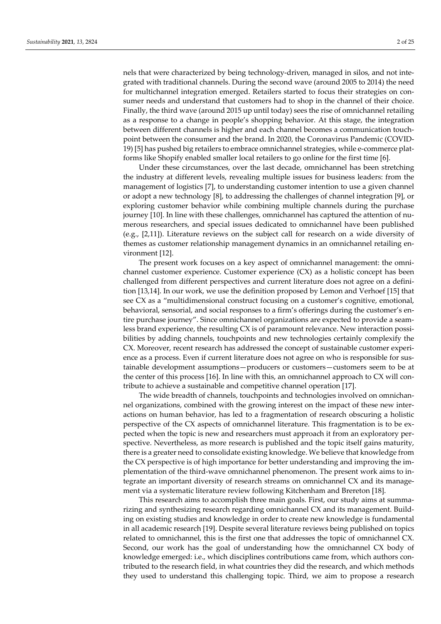nels that were characterized by being technology‐driven, managed in silos, and not inte‐ grated with traditional channels. During the second wave (around 2005 to 2014) the need for multichannel integration emerged. Retailers started to focus their strategies on consumer needs and understand that customers had to shop in the channel of their choice. Finally, the third wave (around 2015 up until today) sees the rise of omnichannel retailing as a response to a change in people's shopping behavior. At this stage, the integration between different channels is higher and each channel becomes a communication touchpoint between the consumer and the brand. In 2020, the Coronavirus Pandemic (COVID‐ 19) [5] has pushed big retailers to embrace omnichannel strategies, while e-commerce platforms like Shopify enabled smaller local retailers to go online for the first time [6].

Under these circumstances, over the last decade, omnichannel has been stretching the industry at different levels, revealing multiple issues for business leaders: from the management of logistics [7], to understanding customer intention to use a given channel or adopt a new technology [8], to addressing the challenges of channel integration [9], or exploring customer behavior while combining multiple channels during the purchase journey [10]. In line with these challenges, omnichannel has captured the attention of numerous researchers, and special issues dedicated to omnichannel have been published (e.g., [2,11]). Literature reviews on the subject call for research on a wide diversity of themes as customer relationship management dynamics in an omnichannel retailing en‐ vironment [12].

The present work focuses on a key aspect of omnichannel management: the omnichannel customer experience. Customer experience (CX) as a holistic concept has been challenged from different perspectives and current literature does not agree on a defini‐ tion [13,14]. In our work, we use the definition proposed by Lemon and Verhoef [15] that see CX as a "multidimensional construct focusing on a customer's cognitive, emotional, behavioral, sensorial, and social responses to a firm's offerings during the customer's en‐ tire purchase journey". Since omnichannel organizations are expected to provide a seamless brand experience, the resulting CX is of paramount relevance. New interaction possibilities by adding channels, touchpoints and new technologies certainly complexify the CX. Moreover, recent research has addressed the concept of sustainable customer experi‐ ence as a process. Even if current literature does not agree on who is responsible for sustainable development assumptions—producers or customers—customers seem to be at the center of this process [16]. In line with this, an omnichannel approach to CX will contribute to achieve a sustainable and competitive channel operation [17].

The wide breadth of channels, touchpoints and technologies involved on omnichan‐ nel organizations, combined with the growing interest on the impact of these new inter‐ actions on human behavior, has led to a fragmentation of research obscuring a holistic perspective of the CX aspects of omnichannel literature. This fragmentation is to be ex‐ pected when the topic is new and researchers must approach it from an exploratory per‐ spective. Nevertheless, as more research is published and the topic itself gains maturity, there is a greater need to consolidate existing knowledge. We believe that knowledge from the CX perspective is of high importance for better understanding and improving the im‐ plementation of the third‐wave omnichannel phenomenon. The present work aims to in‐ tegrate an important diversity of research streams on omnichannel CX and its management via a systematic literature review following Kitchenham and Brereton [18].

This research aims to accomplish three main goals. First, our study aims at summa rizing and synthesizing research regarding omnichannel CX and its management. Build‐ ing on existing studies and knowledge in order to create new knowledge is fundamental in all academic research [19]. Despite several literature reviews being published on topics related to omnichannel, this is the first one that addresses the topic of omnichannel CX. Second, our work has the goal of understanding how the omnichannel CX body of knowledge emerged: i.e., which disciplines contributions came from, which authors contributed to the research field, in what countries they did the research, and which methods they used to understand this challenging topic. Third, we aim to propose a research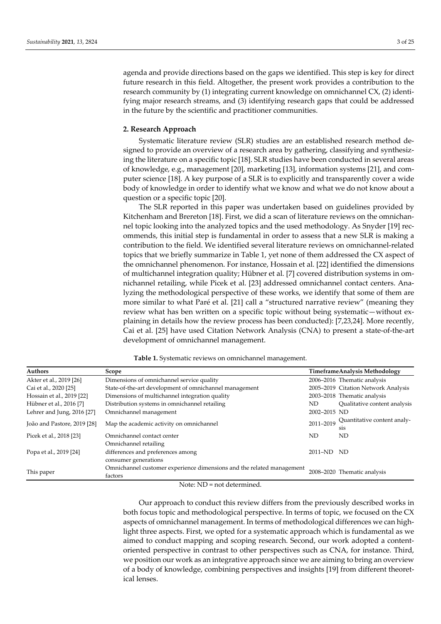agenda and provide directions based on the gaps we identified. This step is key for direct future research in this field. Altogether, the present work provides a contribution to the research community by (1) integrating current knowledge on omnichannel CX, (2) identifying major research streams, and (3) identifying research gaps that could be addressed in the future by the scientific and practitioner communities.

## **2. Research Approach**

Systematic literature review (SLR) studies are an established research method de‐ signed to provide an overview of a research area by gathering, classifying and synthesiz‐ ing the literature on a specific topic [18]. SLR studies have been conducted in several areas of knowledge, e.g., management [20], marketing [13], information systems [21], and com‐ puter science [18]. A key purpose of a SLR is to explicitly and transparently cover a wide body of knowledge in order to identify what we know and what we do not know about a question or a specific topic [20].

The SLR reported in this paper was undertaken based on guidelines provided by Kitchenham and Brereton [18]. First, we did a scan of literature reviews on the omnichannel topic looking into the analyzed topics and the used methodology. As Snyder [19] rec‐ ommends, this initial step is fundamental in order to assess that a new SLR is making a contribution to the field. We identified several literature reviews on omnichannel‐related topics that we briefly summarize in Table 1, yet none of them addressed the CX aspect of the omnichannel phenomenon. For instance, Hossain et al. [22] identified the dimensions of multichannel integration quality; Hübner et al. [7] covered distribution systems in om‐ nichannel retailing, while Picek et al. [23] addressed omnichannel contact centers. Ana‐ lyzing the methodological perspective of these works, we identify that some of them are more similar to what Paré et al. [21] call a "structured narrative review" (meaning they review what has ben written on a specific topic without being systematic—without explaining in details how the review process has been conducted): [7,23,24]. More recently, Cai et al. [25] have used Citation Network Analysis (CNA) to present a state‐of‐the‐art development of omnichannel management.

| Authors                     | Scope                                                                              |              | <b>TimeframeAnalysis Methodology</b>            |
|-----------------------------|------------------------------------------------------------------------------------|--------------|-------------------------------------------------|
| Akter et al., 2019 [26]     | Dimensions of omnichannel service quality                                          |              | 2006–2016 Thematic analysis                     |
| Cai et al., 2020 [25]       | State-of-the-art development of omnichannel management                             |              | 2005–2019 Citation Network Analysis             |
| Hossain et al., 2019 [22]   | Dimensions of multichannel integration quality                                     |              | 2003-2018 Thematic analysis                     |
| Hübner et al., 2016 [7]     | Distribution systems in omnichannel retailing                                      | ND.          | Qualitative content analysis                    |
| Lehrer and Jung, 2016 [27]  | Omnichannel management                                                             | 2002-2015 ND |                                                 |
| João and Pastore, 2019 [28] | Map the academic activity on omnichannel                                           | 2011-2019    | Quantitative content analy-<br>S <sub>1</sub> S |
| Picek et al., 2018 [23]     | Omnichannel contact center                                                         | ND.          | ND                                              |
| Popa et al., 2019 [24]      | Omnichannel retailing<br>differences and preferences among<br>consumer generations | 2011-ND ND   |                                                 |
| This paper                  | Omnichannel customer experience dimensions and the related management<br>factors   |              | 2008-2020 Thematic analysis                     |

**Table 1.** Systematic reviews on omnichannel management.

Note: ND = not determined.

Our approach to conduct this review differs from the previously described works in both focus topic and methodological perspective. In terms of topic, we focused on the CX aspects of omnichannel management. In terms of methodological differences we can highlight three aspects. First, we opted for a systematic approach which is fundamental as we aimed to conduct mapping and scoping research. Second, our work adopted a content‐ oriented perspective in contrast to other perspectives such as CNA, for instance. Third, we position our work as an integrative approach since we are aiming to bring an overview of a body of knowledge, combining perspectives and insights [19] from different theoret‐ ical lenses.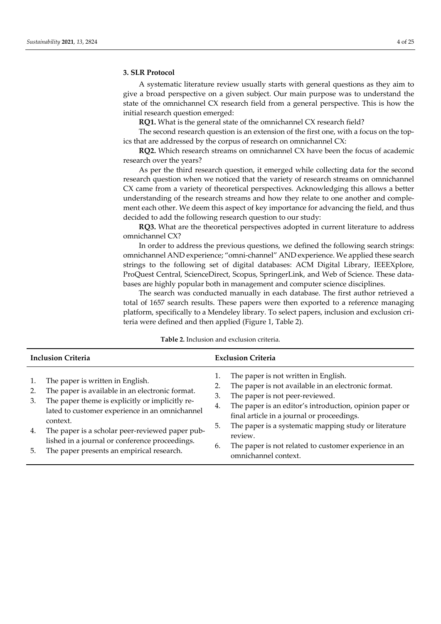## **3. SLR Protocol**

A systematic literature review usually starts with general questions as they aim to give a broad perspective on a given subject. Our main purpose was to understand the state of the omnichannel CX research field from a general perspective. This is how the initial research question emerged:

**RQ1.** What is the general state of the omnichannel CX research field?

The second research question is an extension of the first one, with a focus on the topics that are addressed by the corpus of research on omnichannel CX:

**RQ2.** Which research streams on omnichannel CX have been the focus of academic research over the years?

As per the third research question, it emerged while collecting data for the second research question when we noticed that the variety of research streams on omnichannel CX came from a variety of theoretical perspectives. Acknowledging this allows a better understanding of the research streams and how they relate to one another and complement each other. We deem this aspect of key importance for advancing the field, and thus decided to add the following research question to our study:

**RQ3.** What are the theoretical perspectives adopted in current literature to address omnichannel CX?

In order to address the previous questions, we defined the following search strings: omnichannel AND experience; "omni‐channel" AND experience. We applied these search strings to the following set of digital databases: ACM Digital Library, IEEEXplore, ProQuest Central, ScienceDirect, Scopus, SpringerLink, and Web of Science. These data‐ bases are highly popular both in management and computer science disciplines.

The search was conducted manually in each database. The first author retrieved a total of 1657 search results. These papers were then exported to a reference managing platform, specifically to a Mendeley library. To select papers, inclusion and exclusion criteria were defined and then applied (Figure 1, Table 2).

| <b>Inclusion Criteria</b> |                                                                                                                                                                                                                                                                                                           | <b>Exclusion Criteria</b>  |                                                                                                                                                                                                                                                                                                             |  |
|---------------------------|-----------------------------------------------------------------------------------------------------------------------------------------------------------------------------------------------------------------------------------------------------------------------------------------------------------|----------------------------|-------------------------------------------------------------------------------------------------------------------------------------------------------------------------------------------------------------------------------------------------------------------------------------------------------------|--|
| 2.<br>3.<br>4.            | The paper is written in English.<br>The paper is available in an electronic format.<br>The paper theme is explicitly or implicitly re-<br>lated to customer experience in an omnichannel<br>context.<br>The paper is a scholar peer-reviewed paper pub-<br>lished in a journal or conference proceedings. | 1.<br>2.<br>3.<br>4.<br>5. | The paper is not written in English.<br>The paper is not available in an electronic format.<br>The paper is not peer-reviewed.<br>The paper is an editor's introduction, opinion paper or<br>final article in a journal or proceedings.<br>The paper is a systematic mapping study or literature<br>review. |  |
| 5.                        | The paper presents an empirical research.                                                                                                                                                                                                                                                                 | 6.                         | The paper is not related to customer experience in an<br>omnichannel context.                                                                                                                                                                                                                               |  |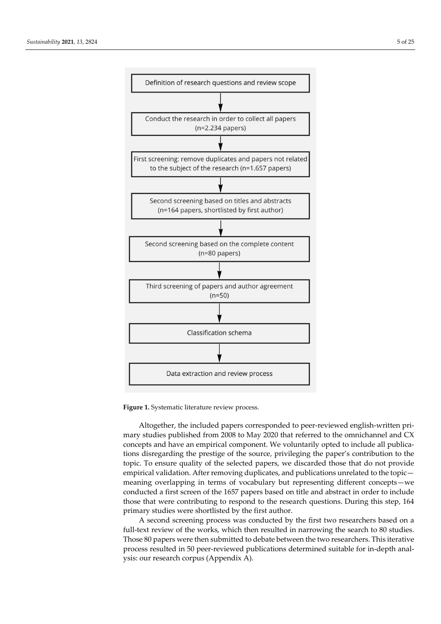

**Figure 1.** Systematic literature review process.

Altogether, the included papers corresponded to peer‐reviewed english‐written pri‐ mary studies published from 2008 to May 2020 that referred to the omnichannel and CX concepts and have an empirical component. We voluntarily opted to include all publica‐ tions disregarding the prestige of the source, privileging the paper's contribution to the topic. To ensure quality of the selected papers, we discarded those that do not provide empirical validation. After removing duplicates, and publications unrelated to the topic meaning overlapping in terms of vocabulary but representing different concepts—we conducted a first screen of the 1657 papers based on title and abstract in order to include those that were contributing to respond to the research questions. During this step, 164 primary studies were shortlisted by the first author.

A second screening process was conducted by the first two researchers based on a full-text review of the works, which then resulted in narrowing the search to 80 studies. Those 80 papers were then submitted to debate between the two researchers. This iterative process resulted in 50 peer‐reviewed publications determined suitable for in‐depth anal‐ ysis: our research corpus (Appendix A).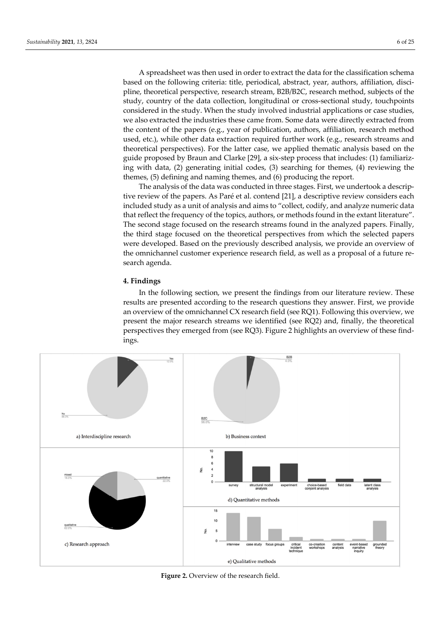A spreadsheet was then used in order to extract the data for the classification schema based on the following criteria: title, periodical, abstract, year, authors, affiliation, discipline, theoretical perspective, research stream, B2B/B2C, research method, subjects of the study, country of the data collection, longitudinal or cross‐sectional study, touchpoints considered in the study. When the study involved industrial applications or case studies, we also extracted the industries these came from. Some data were directly extracted from the content of the papers (e.g., year of publication, authors, affiliation, research method used, etc.), while other data extraction required further work (e.g., research streams and theoretical perspectives). For the latter case, we applied thematic analysis based on the guide proposed by Braun and Clarke [29], a six‐step process that includes: (1) familiariz‐ ing with data, (2) generating initial codes, (3) searching for themes, (4) reviewing the themes, (5) defining and naming themes, and (6) producing the report.

The analysis of the data was conducted in three stages. First, we undertook a descrip‐ tive review of the papers. As Paré et al. contend [21], a descriptive review considers each included study as a unit of analysis and aims to "collect, codify, and analyze numeric data that reflect the frequency of the topics, authors, or methods found in the extant literature". The second stage focused on the research streams found in the analyzed papers. Finally, the third stage focused on the theoretical perspectives from which the selected papers were developed. Based on the previously described analysis, we provide an overview of the omnichannel customer experience research field, as well as a proposal of a future re‐ search agenda.

## **4. Findings**

In the following section, we present the findings from our literature review. These results are presented according to the research questions they answer. First, we provide an overview of the omnichannel CX research field (see RQ1). Following this overview, we present the major research streams we identified (see RQ2) and, finally, the theoretical perspectives they emerged from (see RQ3). Figure 2 highlights an overview of these find‐ ings.



**Figure 2.** Overview of the research field.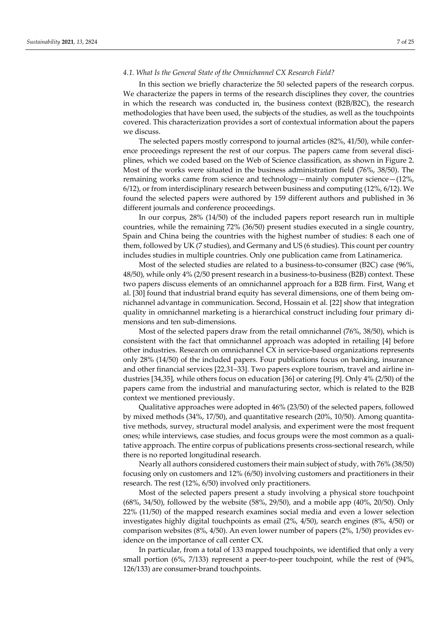## *4.1. What Is the General State of the Omnichannel CX Research Field?*

In this section we briefly characterize the 50 selected papers of the research corpus. We characterize the papers in terms of the research disciplines they cover, the countries in which the research was conducted in, the business context (B2B/B2C), the research methodologies that have been used, the subjects of the studies, as well as the touchpoints covered. This characterization provides a sort of contextual information about the papers we discuss.

The selected papers mostly correspond to journal articles (82%, 41/50), while confer‐ ence proceedings represent the rest of our corpus. The papers came from several disciplines, which we coded based on the Web of Science classification, as shown in Figure 2. Most of the works were situated in the business administration field (76%, 38/50). The remaining works came from science and technology—mainly computer science—(12%, 6/12), or from interdisciplinary research between business and computing (12%, 6/12). We found the selected papers were authored by 159 different authors and published in 36 different journals and conference proceedings.

In our corpus, 28% (14/50) of the included papers report research run in multiple countries, while the remaining 72% (36/50) present studies executed in a single country, Spain and China being the countries with the highest number of studies: 8 each one of them, followed by UK (7 studies), and Germany and US (6 studies). This count per country includes studies in multiple countries. Only one publication came from Latinamerica.

Most of the selected studies are related to a business-to-consumer (B2C) case (96%, 48/50), while only 4% (2/50 present research in a business-to-business (B2B) context. These two papers discuss elements of an omnichannel approach for a B2B firm. First, Wang et al. [30] found that industrial brand equity has several dimensions, one of them being omnichannel advantage in communication. Second, Hossain et al. [22] show that integration quality in omnichannel marketing is a hierarchical construct including four primary di‐ mensions and ten sub‐dimensions.

Most of the selected papers draw from the retail omnichannel (76%, 38/50), which is consistent with the fact that omnichannel approach was adopted in retailing [4] before other industries. Research on omnichannel CX in service‐based organizations represents only 28% (14/50) of the included papers. Four publications focus on banking, insurance and other financial services [22,31–33]. Two papers explore tourism, travel and airline in‐ dustries [34,35], while others focus on education [36] or catering [9]. Only 4% (2/50) of the papers came from the industrial and manufacturing sector, which is related to the B2B context we mentioned previously.

Qualitative approaches were adopted in 46% (23/50) of the selected papers, followed by mixed methods (34%, 17/50), and quantitative research (20%, 10/50). Among quantita‐ tive methods, survey, structural model analysis, and experiment were the most frequent ones; while interviews, case studies, and focus groups were the most common as a quali‐ tative approach. The entire corpus of publications presents cross-sectional research, while there is no reported longitudinal research.

Nearly all authors considered customers their main subject of study, with 76% (38/50) focusing only on customers and 12% (6/50) involving customers and practitioners in their research. The rest (12%, 6/50) involved only practitioners.

Most of the selected papers present a study involving a physical store touchpoint (68%, 34/50), followed by the website (58%, 29/50), and a mobile app (40%, 20/50). Only 22% (11/50) of the mapped research examines social media and even a lower selection investigates highly digital touchpoints as email (2%, 4/50), search engines (8%, 4/50) or comparison websites (8%, 4/50). An even lower number of papers (2%, 1/50) provides ev‐ idence on the importance of call center CX.

In particular, from a total of 133 mapped touchpoints, we identified that only a very small portion (6%, 7/133) represent a peer-to-peer touchpoint, while the rest of (94%, 126/133) are consumer‐brand touchpoints.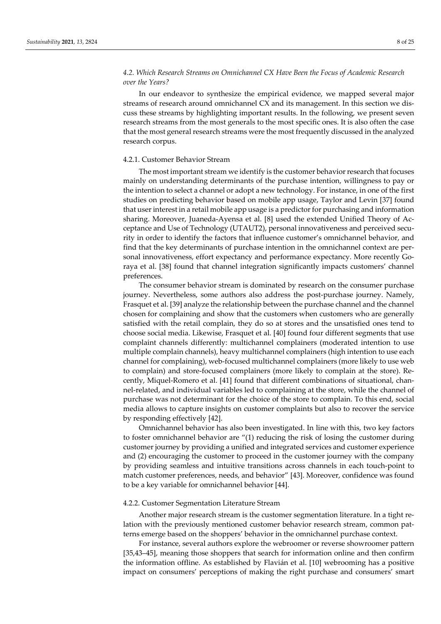# *4.2. Which Research Streams on Omnichannel CX Have Been the Focus of Academic Research over the Years?*

In our endeavor to synthesize the empirical evidence, we mapped several major streams of research around omnichannel CX and its management. In this section we dis‐ cuss these streams by highlighting important results. In the following, we present seven research streams from the most generals to the most specific ones. It is also often the case that the most general research streams were the most frequently discussed in the analyzed research corpus.

## 4.2.1. Customer Behavior Stream

The most important stream we identify is the customer behaviorresearch that focuses mainly on understanding determinants of the purchase intention, willingness to pay or the intention to select a channel or adopt a new technology. For instance, in one of the first studies on predicting behavior based on mobile app usage, Taylor and Levin [37] found that user interest in a retail mobile app usage is a predictor for purchasing and information sharing. Moreover, Juaneda‐Ayensa et al. [8] used the extended Unified Theory of Ac‐ ceptance and Use of Technology (UTAUT2), personal innovativeness and perceived security in order to identify the factors that influence customer's omnichannel behavior, and find that the key determinants of purchase intention in the omnichannel context are per‐ sonal innovativeness, effort expectancy and performance expectancy. More recently Goraya et al. [38] found that channel integration significantly impacts customers' channel preferences.

The consumer behavior stream is dominated by research on the consumer purchase journey. Nevertheless, some authors also address the post-purchase journey. Namely, Frasquet et al. [39] analyze the relationship between the purchase channel and the channel chosen for complaining and show that the customers when customers who are generally satisfied with the retail complain, they do so at stores and the unsatisfied ones tend to choose social media. Likewise, Frasquet et al. [40] found four different segments that use complaint channels differently: multichannel complainers (moderated intention to use multiple complain channels), heavy multichannel complainers (high intention to use each channel for complaining), web‐focused multichannel complainers (more likely to use web to complain) and store-focused complainers (more likely to complain at the store). Recently, Miquel‐Romero et al. [41] found that different combinations of situational, chan‐ nel‐related, and individual variables led to complaining at the store, while the channel of purchase was not determinant for the choice of the store to complain. To this end, social media allows to capture insights on customer complaints but also to recover the service by responding effectively [42].

Omnichannel behavior has also been investigated. In line with this, two key factors to foster omnichannel behavior are "(1) reducing the risk of losing the customer during customer journey by providing a unified and integrated services and customer experience and (2) encouraging the customer to proceed in the customer journey with the company by providing seamless and intuitive transitions across channels in each touch‐point to match customer preferences, needs, and behavior" [43]. Moreover, confidence was found to be a key variable for omnichannel behavior [44].

#### 4.2.2. Customer Segmentation Literature Stream

Another major research stream is the customer segmentation literature. In a tight re‐ lation with the previously mentioned customer behavior research stream, common patterns emerge based on the shoppers' behavior in the omnichannel purchase context.

For instance, several authors explore the webroomer or reverse showroomer pattern [35,43–45], meaning those shoppers that search for information online and then confirm the information offline. As established by Flavián et al. [10] webrooming has a positive impact on consumers' perceptions of making the right purchase and consumers' smart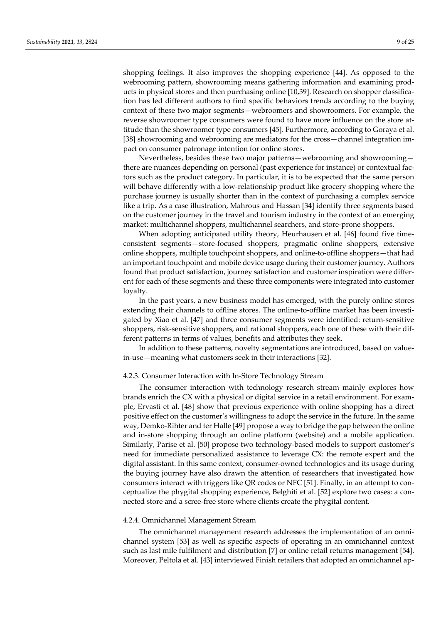shopping feelings. It also improves the shopping experience [44]. As opposed to the webrooming pattern, showrooming means gathering information and examining products in physical stores and then purchasing online [10,39]. Research on shopper classification has led different authors to find specific behaviors trends according to the buying context of these two major segments—webroomers and showroomers. For example, the reverse showroomer type consumers were found to have more influence on the store attitude than the showroomer type consumers [45]. Furthermore, according to Goraya et al. [38] showrooming and webrooming are mediators for the cross—channel integration impact on consumer patronage intention for online stores.

Nevertheless, besides these two major patterns—webrooming and showrooming there are nuances depending on personal (past experience for instance) or contextual fac‐ tors such as the product category. In particular, it is to be expected that the same person will behave differently with a low-relationship product like grocery shopping where the purchase journey is usually shorter than in the context of purchasing a complex service like a trip. As a case illustration, Mahrous and Hassan [34] identify three segments based on the customer journey in the travel and tourism industry in the context of an emerging market: multichannel shoppers, multichannel searchers, and store‐prone shoppers.

When adopting anticipated utility theory, Heurhausen et al. [46] found five timeconsistent segments—store‐focused shoppers, pragmatic online shoppers, extensive online shoppers, multiple touchpoint shoppers, and online‐to‐offline shoppers—that had an important touchpoint and mobile device usage during their customer journey. Authors found that product satisfaction, journey satisfaction and customer inspiration were differ‐ ent for each of these segments and these three components were integrated into customer loyalty.

In the past years, a new business model has emerged, with the purely online stores extending their channels to offline stores. The online-to-offline market has been investigated by Xiao et al. [47] and three consumer segments were identified: return‐sensitive shoppers, risk-sensitive shoppers, and rational shoppers, each one of these with their different patterns in terms of values, benefits and attributes they seek.

In addition to these patterns, novelty segmentations are introduced, based on value‐ in‐use—meaning what customers seek in their interactions [32].

## 4.2.3. Consumer Interaction with In‐Store Technology Stream

The consumer interaction with technology research stream mainly explores how brands enrich the CX with a physical or digital service in a retail environment. For example, Ervasti et al. [48] show that previous experience with online shopping has a direct positive effect on the customer's willingness to adopt the service in the future. In the same way, Demko‐Rihter and ter Halle [49] propose a way to bridge the gap between the online and in‐store shopping through an online platform (website) and a mobile application. Similarly, Parise et al. [50] propose two technology-based models to support customer's need for immediate personalized assistance to leverage CX: the remote expert and the digital assistant. In this same context, consumer‐owned technologies and its usage during the buying journey have also drawn the attention of researchers that investigated how consumers interact with triggers like QR codes or NFC [51]. Finally, in an attempt to conceptualize the phygital shopping experience, Belghiti et al. [52] explore two cases: a con‐ nected store and a scree‐free store where clients create the phygital content.

## 4.2.4. Omnichannel Management Stream

The omnichannel management research addresses the implementation of an omnichannel system [53] as well as specific aspects of operating in an omnichannel context such as last mile fulfilment and distribution [7] or online retail returns management [54]. Moreover, Peltola et al. [43] interviewed Finish retailers that adopted an omnichannel ap‐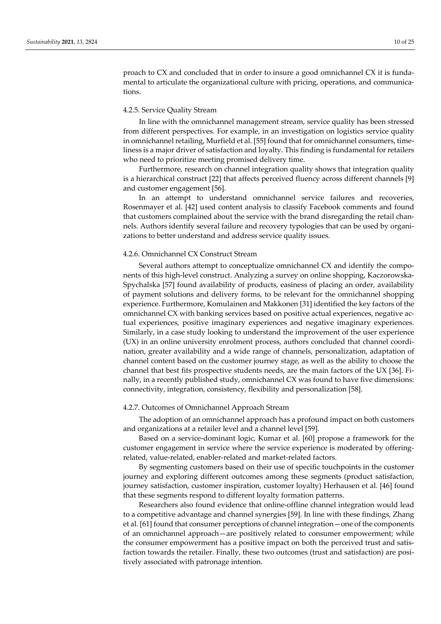proach to CX and concluded that in order to insure a good omnichannel CX it is funda‐ mental to articulate the organizational culture with pricing, operations, and communications.

## 4.2.5. Service Quality Stream

In line with the omnichannel management stream, service quality has been stressed from different perspectives. For example, in an investigation on logistics service quality in omnichannel retailing, Murfield et al. [55] found that for omnichannel consumers, timeliness is a major driver of satisfaction and loyalty. This finding is fundamental for retailers who need to prioritize meeting promised delivery time.

Furthermore, research on channel integration quality shows that integration quality is a hierarchical construct [22] that affects perceived fluency across different channels [9] and customer engagement [56].

In an attempt to understand omnichannel service failures and recoveries, Rosenmayer et al. [42] used content analysis to classify Facebook comments and found that customers complained about the service with the brand disregarding the retail chan‐ nels. Authors identify several failure and recovery typologies that can be used by organizations to better understand and address service quality issues.

## 4.2.6. Omnichannel CX Construct Stream

Several authors attempt to conceptualize omnichannel CX and identify the components of this high-level construct. Analyzing a survey on online shopping, Kaczorowska-Spychalska [57] found availability of products, easiness of placing an order, availability of payment solutions and delivery forms, to be relevant for the omnichannel shopping experience. Furthermore, Komulainen and Makkonen [31] identified the key factors of the omnichannel CX with banking services based on positive actual experiences, negative ac‐ tual experiences, positive imaginary experiences and negative imaginary experiences. Similarly, in a case study looking to understand the improvement of the user experience (UX) in an online university enrolment process, authors concluded that channel coordi‐ nation, greater availability and a wide range of channels, personalization, adaptation of channel content based on the customer journey stage, as well as the ability to choose the channel that best fits prospective students needs, are the main factors of the UX [36]. Finally, in a recently published study, omnichannel CX was found to have five dimensions: connectivity, integration, consistency, flexibility and personalization [58].

#### 4.2.7. Outcomes of Omnichannel Approach Stream

The adoption of an omnichannel approach has a profound impact on both customers and organizations at a retailer level and a channel level [59].

Based on a service‐dominant logic, Kumar et al. [60] propose a framework for the customer engagement in service where the service experience is moderated by offering‐ related, value‐related, enabler‐related and market‐related factors.

By segmenting customers based on their use of specific touchpoints in the customer journey and exploring different outcomes among these segments (product satisfaction, journey satisfaction, customer inspiration, customer loyalty) Herhausen et al. [46] found that these segments respond to different loyalty formation patterns.

Researchers also found evidence that online‐offline channel integration would lead to a competitive advantage and channel synergies [59]. In line with these findings, Zhang et al. [61] found that consumer perceptions of channel integration—one of the components of an omnichannel approach—are positively related to consumer empowerment; while the consumer empowerment has a positive impact on both the perceived trust and satis‐ faction towards the retailer. Finally, these two outcomes (trust and satisfaction) are positively associated with patronage intention.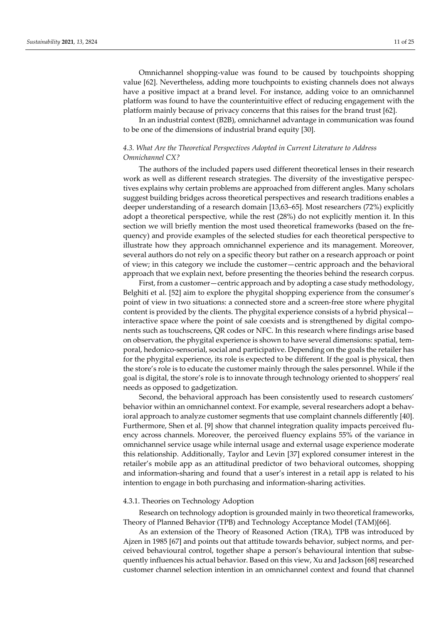Omnichannel shopping‐value was found to be caused by touchpoints shopping value [62]. Nevertheless, adding more touchpoints to existing channels does not always have a positive impact at a brand level. For instance, adding voice to an omnichannel platform was found to have the counterintuitive effect of reducing engagement with the platform mainly because of privacy concerns that this raises for the brand trust [62].

In an industrial context (B2B), omnichannel advantage in communication was found to be one of the dimensions of industrial brand equity [30].

## *4.3. What Are the Theoretical Perspectives Adopted in Current Literature to Address Omnichannel CX?*

The authors of the included papers used different theoretical lenses in their research work as well as different research strategies. The diversity of the investigative perspec‐ tives explains why certain problems are approached from different angles. Many scholars suggest building bridges across theoretical perspectives and research traditions enables a deeper understanding of a research domain [13,63–65]. Most researchers (72%) explicitly adopt a theoretical perspective, while the rest (28%) do not explicitly mention it. In this section we will briefly mention the most used theoretical frameworks (based on the frequency) and provide examples of the selected studies for each theoretical perspective to illustrate how they approach omnichannel experience and its management. Moreover, several authors do not rely on a specific theory but rather on a research approach or point of view; in this category we include the customer—centric approach and the behavioral approach that we explain next, before presenting the theories behind the research corpus.

First, from a customer—centric approach and by adopting a case study methodology, Belghiti et al. [52] aim to explore the phygital shopping experience from the consumer's point of view in two situations: a connected store and a screen‐free store where phygital content is provided by the clients. The phygital experience consists of a hybrid physical interactive space where the point of sale coexists and is strengthened by digital components such as touchscreens, QR codes or NFC. In this research where findings arise based on observation, the phygital experience is shown to have several dimensions: spatial, tem‐ poral, hedonico‐sensorial, social and participative. Depending on the goals the retailer has for the phygital experience, its role is expected to be different. If the goal is physical, then the store's role is to educate the customer mainly through the sales personnel. While if the goal is digital, the store's role is to innovate through technology oriented to shoppers' real needs as opposed to gadgetization.

Second, the behavioral approach has been consistently used to research customers' behavior within an omnichannel context. For example, several researchers adopt a behavioral approach to analyze customer segments that use complaint channels differently [40]. Furthermore, Shen et al. [9] show that channel integration quality impacts perceived fluency across channels. Moreover, the perceived fluency explains 55% of the variance in omnichannel service usage while internal usage and external usage experience moderate this relationship. Additionally, Taylor and Levin [37] explored consumer interest in the retailer's mobile app as an attitudinal predictor of two behavioral outcomes, shopping and information‐sharing and found that a user's interest in a retail app is related to his intention to engage in both purchasing and information‐sharing activities.

# 4.3.1. Theories on Technology Adoption

Research on technology adoption is grounded mainly in two theoretical frameworks, Theory of Planned Behavior (TPB) and Technology Acceptance Model (TAM)[66].

As an extension of the Theory of Reasoned Action (TRA), TPB was introduced by Ajzen in 1985 [67] and points out that attitude towards behavior, subject norms, and per‐ ceived behavioural control, together shape a person's behavioural intention that subse‐ quently influences his actual behavior. Based on this view, Xu and Jackson [68] researched customer channel selection intention in an omnichannel context and found that channel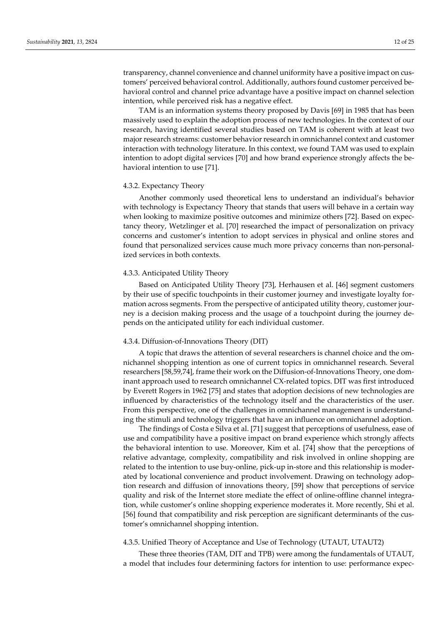transparency, channel convenience and channel uniformity have a positive impact on cus‐ tomers' perceived behavioral control. Additionally, authors found customer perceived be‐ havioral control and channel price advantage have a positive impact on channel selection intention, while perceived risk has a negative effect.

TAM is an information systems theory proposed by Davis [69] in 1985 that has been massively used to explain the adoption process of new technologies. In the context of our research, having identified several studies based on TAM is coherent with at least two major research streams: customer behavior research in omnichannel context and customer interaction with technology literature. In this context, we found TAM was used to explain intention to adopt digital services [70] and how brand experience strongly affects the be‐ havioral intention to use [71].

### 4.3.2. Expectancy Theory

Another commonly used theoretical lens to understand an individual's behavior with technology is Expectancy Theory that stands that users will behave in a certain way when looking to maximize positive outcomes and minimize others [72]. Based on expectancy theory, Wetzlinger et al. [70] researched the impact of personalization on privacy concerns and customer's intention to adopt services in physical and online stores and found that personalized services cause much more privacy concerns than non-personal– ized services in both contexts.

#### 4.3.3. Anticipated Utility Theory

Based on Anticipated Utility Theory [73], Herhausen et al. [46] segment customers by their use of specific touchpoints in their customer journey and investigate loyalty for‐ mation across segments. From the perspective of anticipated utility theory, customer journey is a decision making process and the usage of a touchpoint during the journey de‐ pends on the anticipated utility for each individual customer.

## 4.3.4. Diffusion‐of‐Innovations Theory (DIT)

A topic that draws the attention of several researchers is channel choice and the om‐ nichannel shopping intention as one of current topics in omnichannel research. Several researchers [58,59,74], frame their work on the Diffusion-of-Innovations Theory, one dominant approach used to research omnichannel CX‐related topics. DIT was first introduced by Everett Rogers in 1962 [75] and states that adoption decisions of new technologies are influenced by characteristics of the technology itself and the characteristics of the user. From this perspective, one of the challenges in omnichannel management is understanding the stimuli and technology triggers that have an influence on omnichannel adoption.

The findings of Costa e Silva et al. [71] suggest that perceptions of usefulness, ease of use and compatibility have a positive impact on brand experience which strongly affects the behavioral intention to use. Moreover, Kim et al. [74] show that the perceptions of relative advantage, complexity, compatibility and risk involved in online shopping are related to the intention to use buy-online, pick-up in-store and this relationship is moderated by locational convenience and product involvement. Drawing on technology adoption research and diffusion of innovations theory, [59] show that perceptions of service quality and risk of the Internet store mediate the effect of online-offline channel integration, while customer's online shopping experience moderates it. More recently, Shi et al. [56] found that compatibility and risk perception are significant determinants of the cus‐ tomer's omnichannel shopping intention.

## 4.3.5. Unified Theory of Acceptance and Use of Technology (UTAUT, UTAUT2)

These three theories (TAM, DIT and TPB) were among the fundamentals of UTAUT, a model that includes four determining factors for intention to use: performance expec‐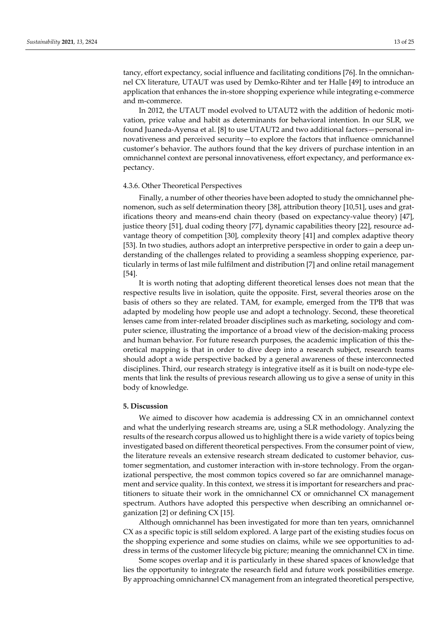tancy, effort expectancy, social influence and facilitating conditions [76]. In the omnichan‐ nel CX literature, UTAUT was used by Demko‐Rihter and ter Halle [49] to introduce an application that enhances the in‐store shopping experience while integrating e‐commerce and m‐commerce.

In 2012, the UTAUT model evolved to UTAUT2 with the addition of hedonic motivation, price value and habit as determinants for behavioral intention. In our SLR, we found Juaneda‐Ayensa et al. [8] to use UTAUT2 and two additional factors—personal in‐ novativeness and perceived security—to explore the factors that influence omnichannel customer's behavior. The authors found that the key drivers of purchase intention in an omnichannel context are personal innovativeness, effort expectancy, and performance ex‐ pectancy.

#### 4.3.6. Other Theoretical Perspectives

Finally, a number of other theories have been adopted to study the omnichannel phe‐ nomenon, such as self determination theory [38], attribution theory [10,51], uses and gratifications theory and means‐end chain theory (based on expectancy‐value theory) [47], justice theory [51], dual coding theory [77], dynamic capabilities theory [22], resource ad‐ vantage theory of competition [30], complexity theory [41] and complex adaptive theory [53]. In two studies, authors adopt an interpretive perspective in order to gain a deep un‐ derstanding of the challenges related to providing a seamless shopping experience, particularly in terms of last mile fulfilment and distribution [7] and online retail management [54].

It is worth noting that adopting different theoretical lenses does not mean that the respective results live in isolation, quite the opposite. First, several theories arose on the basis of others so they are related. TAM, for example, emerged from the TPB that was adapted by modeling how people use and adopt a technology. Second, these theoretical lenses came from inter-related broader disciplines such as marketing, sociology and computer science, illustrating the importance of a broad view of the decision-making process and human behavior. For future research purposes, the academic implication of this the‐ oretical mapping is that in order to dive deep into a research subject, research teams should adopt a wide perspective backed by a general awareness of these interconnected disciplines. Third, our research strategy is integrative itself as it is built on node-type elements that link the results of previous research allowing us to give a sense of unity in this body of knowledge.

## **5. Discussion**

We aimed to discover how academia is addressing CX in an omnichannel context and what the underlying research streams are, using a SLR methodology. Analyzing the results of the research corpus allowed us to highlight there is a wide variety of topics being investigated based on different theoretical perspectives. From the consumer point of view, the literature reveals an extensive research stream dedicated to customer behavior, customer segmentation, and customer interaction with in-store technology. From the organizational perspective, the most common topics covered so far are omnichannel management and service quality. In this context, we stress it is important for researchers and practitioners to situate their work in the omnichannel CX or omnichannel CX management spectrum. Authors have adopted this perspective when describing an omnichannel organization [2] or defining CX [15].

Although omnichannel has been investigated for more than ten years, omnichannel CX as a specific topic is still seldom explored. A large part of the existing studies focus on the shopping experience and some studies on claims, while we see opportunities to ad‐ dress in terms of the customer lifecycle big picture; meaning the omnichannel CX in time.

Some scopes overlap and it is particularly in these shared spaces of knowledge that lies the opportunity to integrate the research field and future work possibilities emerge. By approaching omnichannel CX management from an integrated theoretical perspective,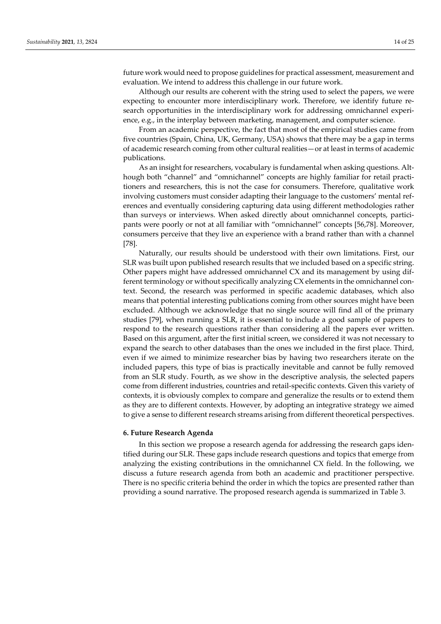future work would need to propose guidelines for practical assessment, measurement and evaluation. We intend to address this challenge in our future work.

Although our results are coherent with the string used to select the papers, we were expecting to encounter more interdisciplinary work. Therefore, we identify future research opportunities in the interdisciplinary work for addressing omnichannel experience, e.g., in the interplay between marketing, management, and computer science.

From an academic perspective, the fact that most of the empirical studies came from five countries (Spain, China, UK, Germany, USA) shows that there may be a gap in terms of academic research coming from other cultural realities—or at least in terms of academic publications.

As an insight for researchers, vocabulary is fundamental when asking questions. Although both "channel" and "omnichannel" concepts are highly familiar for retail practitioners and researchers, this is not the case for consumers. Therefore, qualitative work involving customers must consider adapting their language to the customers' mental references and eventually considering capturing data using different methodologies rather than surveys or interviews. When asked directly about omnichannel concepts, participants were poorly or not at all familiar with "omnichannel" concepts [56,78]. Moreover, consumers perceive that they live an experience with a brand rather than with a channel [78].

Naturally, our results should be understood with their own limitations. First, our SLR was built upon published research results that we included based on a specific string. Other papers might have addressed omnichannel CX and its management by using dif‐ ferent terminology or without specifically analyzing CX elements in the omnichannel context. Second, the research was performed in specific academic databases, which also means that potential interesting publications coming from other sources might have been excluded. Although we acknowledge that no single source will find all of the primary studies [79], when running a SLR, it is essential to include a good sample of papers to respond to the research questions rather than considering all the papers ever written. Based on this argument, after the first initial screen, we considered it was not necessary to expand the search to other databases than the ones we included in the first place. Third, even if we aimed to minimize researcher bias by having two researchers iterate on the included papers, this type of bias is practically inevitable and cannot be fully removed from an SLR study. Fourth, as we show in the descriptive analysis, the selected papers come from different industries, countries and retail‐specific contexts. Given this variety of contexts, it is obviously complex to compare and generalize the results or to extend them as they are to different contexts. However, by adopting an integrative strategy we aimed to give a sense to different research streams arising from different theoretical perspectives.

## **6. Future Research Agenda**

In this section we propose a research agenda for addressing the research gaps identified during our SLR. These gaps include research questions and topics that emerge from analyzing the existing contributions in the omnichannel CX field. In the following, we discuss a future research agenda from both an academic and practitioner perspective. There is no specific criteria behind the order in which the topics are presented rather than providing a sound narrative. The proposed research agenda is summarized in Table 3.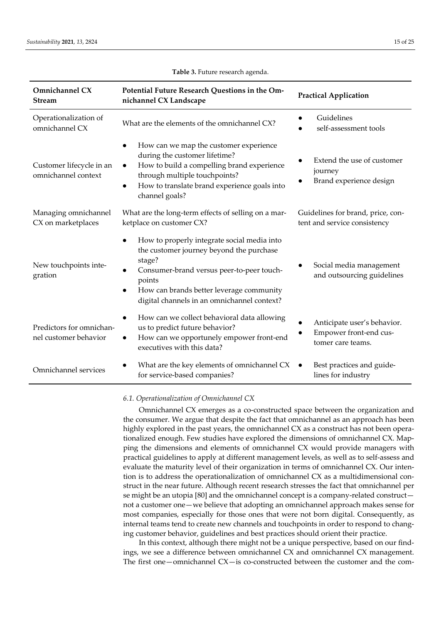| Omnichannel CX<br><b>Stream</b>                   | Potential Future Research Questions in the Om-<br>nichannel CX Landscape                                                                                                                                                                                                      | <b>Practical Application</b>                                               |
|---------------------------------------------------|-------------------------------------------------------------------------------------------------------------------------------------------------------------------------------------------------------------------------------------------------------------------------------|----------------------------------------------------------------------------|
| Operationalization of<br>omnichannel CX           | What are the elements of the omnichannel CX?                                                                                                                                                                                                                                  | Guidelines<br>self-assessment tools                                        |
| Customer lifecycle in an<br>omnichannel context   | How can we map the customer experience<br>during the customer lifetime?<br>How to build a compelling brand experience<br>$\bullet$<br>through multiple touchpoints?<br>How to translate brand experience goals into<br>$\bullet$<br>channel goals?                            | Extend the use of customer<br>journey<br>Brand experience design           |
| Managing omnichannel<br>CX on marketplaces        | What are the long-term effects of selling on a mar-<br>ketplace on customer CX?                                                                                                                                                                                               | Guidelines for brand, price, con-<br>tent and service consistency          |
| New touchpoints inte-<br>gration                  | How to properly integrate social media into<br>the customer journey beyond the purchase<br>stage?<br>Consumer-brand versus peer-to-peer touch-<br>$\bullet$<br>points<br>How can brands better leverage community<br>$\bullet$<br>digital channels in an omnichannel context? | Social media management<br>and outsourcing guidelines                      |
| Predictors for omnichan-<br>nel customer behavior | How can we collect behavioral data allowing<br>us to predict future behavior?<br>How can we opportunely empower front-end<br>$\bullet$<br>executives with this data?                                                                                                          | Anticipate user's behavior.<br>Empower front-end cus-<br>tomer care teams. |
| Omnichannel services                              | What are the key elements of omnichannel CX<br>for service-based companies?                                                                                                                                                                                                   | Best practices and guide-<br>$\bullet$<br>lines for industry               |

#### **Table 3.** Future research agenda.

*6.1. Operationalization of Omnichannel CX*

Omnichannel CX emerges as a co‐constructed space between the organization and the consumer. We argue that despite the fact that omnichannel as an approach has been highly explored in the past years, the omnichannel CX as a construct has not been operationalized enough. Few studies have explored the dimensions of omnichannel CX. Map‐ ping the dimensions and elements of omnichannel CX would provide managers with practical guidelines to apply at different management levels, as well as to self‐assess and evaluate the maturity level of their organization in terms of omnichannel CX. Our inten‐ tion is to address the operationalization of omnichannel CX as a multidimensional construct in the near future. Although recent research stresses the fact that omnichannel per se might be an utopia [80] and the omnichannel concept is a company-related construct not a customer one—we believe that adopting an omnichannel approach makes sense for most companies, especially for those ones that were not born digital. Consequently, as internal teams tend to create new channels and touchpoints in order to respond to changing customer behavior, guidelines and best practices should orient their practice.

In this context, although there might not be a unique perspective, based on our findings, we see a difference between omnichannel CX and omnichannel CX management. The first one—omnichannel  $CX$ —is co-constructed between the customer and the com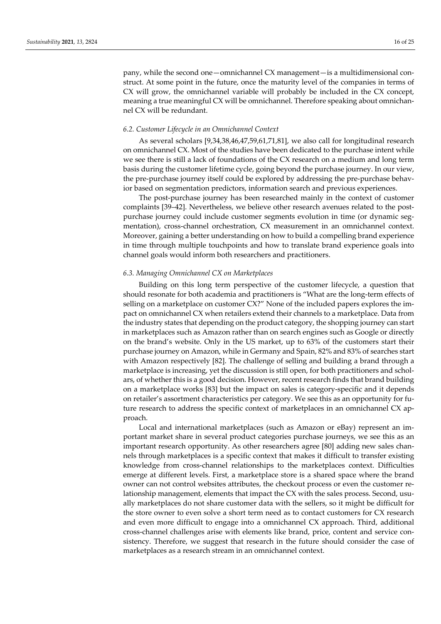pany, while the second one—omnichannel CX management—is a multidimensional construct. At some point in the future, once the maturity level of the companies in terms of CX will grow, the omnichannel variable will probably be included in the CX concept, meaning a true meaningful CX will be omnichannel. Therefore speaking about omnichannel CX will be redundant.

## *6.2. Customer Lifecycle in an Omnichannel Context*

As several scholars [9,34,38,46,47,59,61,71,81], we also call for longitudinal research on omnichannel CX. Most of the studies have been dedicated to the purchase intent while we see there is still a lack of foundations of the CX research on a medium and long term basis during the customer lifetime cycle, going beyond the purchase journey. In our view, the pre-purchase journey itself could be explored by addressing the pre-purchase behavior based on segmentation predictors, information search and previous experiences.

The post-purchase journey has been researched mainly in the context of customer complaints [39–42]. Nevertheless, we believe other research avenues related to the postpurchase journey could include customer segments evolution in time (or dynamic segmentation), cross‐channel orchestration, CX measurement in an omnichannel context. Moreover, gaining a better understanding on how to build a compelling brand experience in time through multiple touchpoints and how to translate brand experience goals into channel goals would inform both researchers and practitioners.

## *6.3. Managing Omnichannel CX on Marketplaces*

Building on this long term perspective of the customer lifecycle, a question that should resonate for both academia and practitioners is "What are the long-term effects of selling on a marketplace on customer CX?" None of the included papers explores the impact on omnichannel CX when retailers extend their channels to a marketplace. Data from the industry states that depending on the product category, the shopping journey can start in marketplaces such as Amazon rather than on search engines such as Google or directly on the brand's website. Only in the US market, up to 63% of the customers start their purchase journey on Amazon, while in Germany and Spain, 82% and 83% of searches start with Amazon respectively [82]. The challenge of selling and building a brand through a marketplace is increasing, yet the discussion is still open, for both practitioners and scholars, of whether this is a good decision. However, recent research finds that brand building on a marketplace works [83] but the impact on sales is category‐specific and it depends on retailer's assortment characteristics per category. We see this as an opportunity for fu‐ ture research to address the specific context of marketplaces in an omnichannel CX approach.

Local and international marketplaces (such as Amazon or eBay) represent an im‐ portant market share in several product categories purchase journeys, we see this as an important research opportunity. As other researchers agree [80] adding new sales channels through marketplaces is a specific context that makes it difficult to transfer existing knowledge from cross‐channel relationships to the marketplaces context. Difficulties emerge at different levels. First, a marketplace store is a shared space where the brand owner can not control websites attributes, the checkout process or even the customer re‐ lationship management, elements that impact the CX with the sales process. Second, usually marketplaces do not share customer data with the sellers, so it might be difficult for the store owner to even solve a short term need as to contact customers for CX research and even more difficult to engage into a omnichannel CX approach. Third, additional cross-channel challenges arise with elements like brand, price, content and service consistency. Therefore, we suggest that research in the future should consider the case of marketplaces as a research stream in an omnichannel context.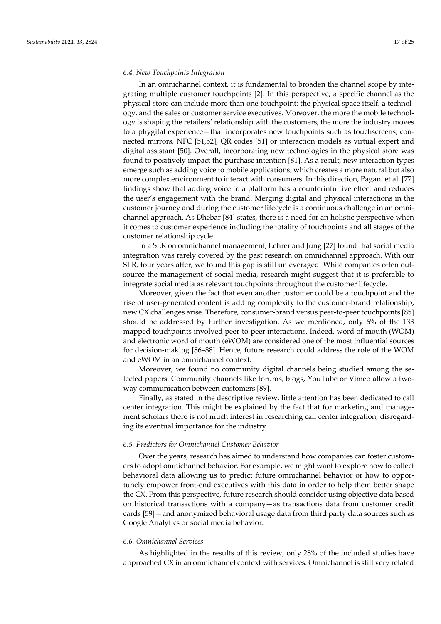### *6.4. New Touchpoints Integration*

In an omnichannel context, it is fundamental to broaden the channel scope by integrating multiple customer touchpoints [2]. In this perspective, a specific channel as the physical store can include more than one touchpoint: the physical space itself, a technol‐ ogy, and the sales or customer service executives. Moreover, the more the mobile technol‐ ogy is shaping the retailers' relationship with the customers, the more the industry moves to a phygital experience—that incorporates new touchpoints such as touchscreens, con‐ nected mirrors, NFC [51,52], QR codes [51] or interaction models as virtual expert and digital assistant [50]. Overall, incorporating new technologies in the physical store was found to positively impact the purchase intention [81]. As a result, new interaction types emerge such as adding voice to mobile applications, which creates a more natural but also more complex environment to interact with consumers. In this direction, Pagani et al. [77] findings show that adding voice to a platform has a counterintuitive effect and reduces the user's engagement with the brand. Merging digital and physical interactions in the customer journey and during the customer lifecycle is a continuous challenge in an omnichannel approach. As Dhebar [84] states, there is a need for an holistic perspective when it comes to customer experience including the totality of touchpoints and all stages of the customer relationship cycle.

In a SLR on omnichannel management, Lehrer and Jung [27] found that social media integration was rarely covered by the past research on omnichannel approach. With our SLR, four years after, we found this gap is still unleveraged. While companies often out‐ source the management of social media, research might suggest that it is preferable to integrate social media as relevant touchpoints throughout the customer lifecycle.

Moreover, given the fact that even another customer could be a touchpoint and the rise of user-generated content is adding complexity to the customer-brand relationship, new CX challenges arise. Therefore, consumer‐brand versus peer‐to‐peer touchpoints [85] should be addressed by further investigation. As we mentioned, only 6% of the 133 mapped touchpoints involved peer‐to‐peer interactions. Indeed, word of mouth (WOM) and electronic word of mouth (eWOM) are considered one of the most influential sources for decision‐making [86–88]. Hence, future research could address the role of the WOM and eWOM in an omnichannel context.

Moreover, we found no community digital channels being studied among the selected papers. Community channels like forums, blogs, YouTube or Vimeo allow a twoway communication between customers [89].

Finally, as stated in the descriptive review, little attention has been dedicated to call center integration. This might be explained by the fact that for marketing and management scholars there is not much interest in researching call center integration, disregarding its eventual importance for the industry.

## *6.5. Predictors for Omnichannel Customer Behavior*

Over the years, research has aimed to understand how companies can foster customers to adopt omnichannel behavior. For example, we might want to explore how to collect behavioral data allowing us to predict future omnichannel behavior or how to oppor‐ tunely empower front-end executives with this data in order to help them better shape the CX. From this perspective, future research should consider using objective data based on historical transactions with a company—as transactions data from customer credit cards [59]—and anonymized behavioral usage data from third party data sources such as Google Analytics or social media behavior.

## *6.6. Omnichannel Services*

As highlighted in the results of this review, only 28% of the included studies have approached CX in an omnichannel context with services. Omnichannel is still very related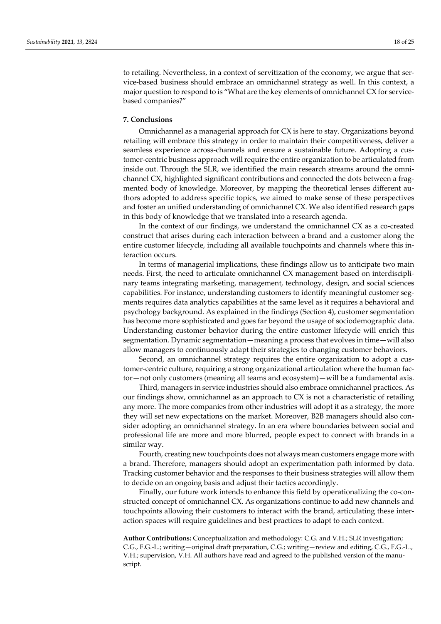to retailing. Nevertheless, in a context of servitization of the economy, we argue that service‐based business should embrace an omnichannel strategy as well. In this context, a major question to respond to is "What are the key elements of omnichannel CX for servicebased companies?"

## **7. Conclusions**

Omnichannel as a managerial approach for CX is here to stay. Organizations beyond retailing will embrace this strategy in order to maintain their competitiveness, deliver a seamless experience across-channels and ensure a sustainable future. Adopting a customer-centric business approach will require the entire organization to be articulated from inside out. Through the SLR, we identified the main research streams around the omnichannel CX, highlighted significant contributions and connected the dots between a fragmented body of knowledge. Moreover, by mapping the theoretical lenses different authors adopted to address specific topics, we aimed to make sense of these perspectives and foster an unified understanding of omnichannel CX. We also identified research gaps in this body of knowledge that we translated into a research agenda.

In the context of our findings, we understand the omnichannel CX as a co-created construct that arises during each interaction between a brand and a customer along the entire customer lifecycle, including all available touchpoints and channels where this interaction occurs.

In terms of managerial implications, these findings allow us to anticipate two main needs. First, the need to articulate omnichannel CX management based on interdisciplinary teams integrating marketing, management, technology, design, and social sciences capabilities. For instance, understanding customers to identify meaningful customer segments requires data analytics capabilities at the same level as it requires a behavioral and psychology background. As explained in the findings (Section 4), customer segmentation has become more sophisticated and goes far beyond the usage of sociodemographic data. Understanding customer behavior during the entire customer lifecycle will enrich this segmentation. Dynamic segmentation—meaning a process that evolves in time—will also allow managers to continuously adapt their strategies to changing customer behaviors.

Second, an omnichannel strategy requires the entire organization to adopt a customer-centric culture, requiring a strong organizational articulation where the human factor—not only customers (meaning all teams and ecosystem)—will be a fundamental axis.

Third, managers in service industries should also embrace omnichannel practices. As our findings show, omnichannel as an approach to CX is not a characteristic of retailing any more. The more companies from other industries will adopt it as a strategy, the more they will set new expectations on the market. Moreover, B2B managers should also consider adopting an omnichannel strategy. In an era where boundaries between social and professional life are more and more blurred, people expect to connect with brands in a similar way.

Fourth, creating new touchpoints does not always mean customers engage more with a brand. Therefore, managers should adopt an experimentation path informed by data. Tracking customer behavior and the responses to their business strategies will allow them to decide on an ongoing basis and adjust their tactics accordingly.

Finally, our future work intends to enhance this field by operationalizing the co-constructed concept of omnichannel CX. As organizations continue to add new channels and touchpoints allowing their customers to interact with the brand, articulating these inter‐ action spaces will require guidelines and best practices to adapt to each context.

**Author Contributions:** Conceptualization and methodology: C.G. and V.H.; SLR investigation; C.G., F.G.‐L.; writing—original draft preparation, C.G.; writing—review and editing, C.G., F.G.‐L., V.H.; supervision, V.H. All authors have read and agreed to the published version of the manu‐ script.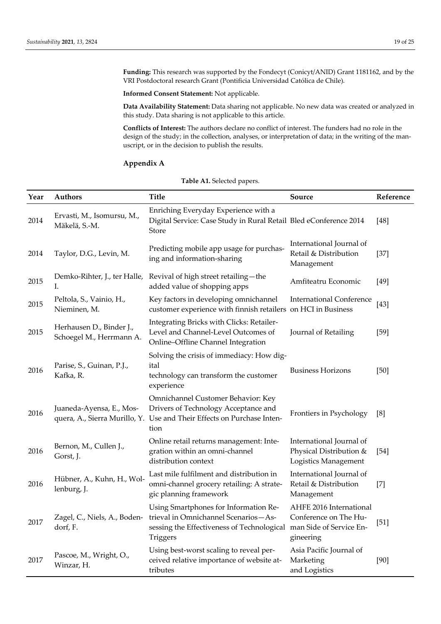**Funding:** This research was supported by the Fondecyt (Conicyt/ANID) Grant 1181162, and by the VRI Postdoctoral research Grant (Pontificia Universidad Católica de Chile).

**Informed Consent Statement:** Not applicable.

**Data Availability Statement:** Data sharing not applicable. No new data was created or analyzed in this study. Data sharing is not applicable to this article.

**Conflicts of Interest:** The authors declare no conflict of interest. The funders had no role in the design of the study; in the collection, analyses, or interpretation of data; in the writing of the manuscript, or in the decision to publish the results.

## **Appendix A**

| Year | <b>Authors</b>                                       | <b>Title</b>                                                                                                                                                 | Source                                                                                   | Reference |
|------|------------------------------------------------------|--------------------------------------------------------------------------------------------------------------------------------------------------------------|------------------------------------------------------------------------------------------|-----------|
| 2014 | Ervasti, M., Isomursu, M.,<br>Mäkelä, S.-M.          | Enriching Everyday Experience with a<br>Digital Service: Case Study in Rural Retail Bled eConference 2014<br>Store                                           |                                                                                          | $[48]$    |
| 2014 | Taylor, D.G., Levin, M.                              | Predicting mobile app usage for purchas-<br>ing and information-sharing                                                                                      | International Journal of<br>Retail & Distribution<br>Management                          | $[37]$    |
| 2015 | Demko-Rihter, J., ter Halle,<br>L.                   | Revival of high street retailing-the<br>added value of shopping apps                                                                                         | Amfiteatru Economic                                                                      | $[49]$    |
| 2015 | Peltola, S., Vainio, H.,<br>Nieminen, M.             | Key factors in developing omnichannel<br>customer experience with finnish retailers on HCI in Business                                                       | <b>International Conference</b>                                                          | $[43]$    |
| 2015 | Herhausen D., Binder J.,<br>Schoegel M., Herrmann A. | Integrating Bricks with Clicks: Retailer-<br>Level and Channel-Level Outcomes of<br>Online-Offline Channel Integration                                       | Journal of Retailing                                                                     | $[59]$    |
| 2016 | Parise, S., Guinan, P.J.,<br>Kafka, R.               | Solving the crisis of immediacy: How dig-<br>ital<br>technology can transform the customer<br>experience                                                     | <b>Business Horizons</b>                                                                 | $[50]$    |
| 2016 | Juaneda-Ayensa, E., Mos-                             | Omnichannel Customer Behavior: Key<br>Drivers of Technology Acceptance and<br>quera, A., Sierra Murillo, Y. Use and Their Effects on Purchase Inten-<br>tion | Frontiers in Psychology                                                                  | [8]       |
| 2016 | Bernon, M., Cullen J.,<br>Gorst, J.                  | Online retail returns management: Inte-<br>gration within an omni-channel<br>distribution context                                                            | International Journal of<br>Physical Distribution &<br>Logistics Management              | $[54]$    |
| 2016 | Hübner, A., Kuhn, H., Wol-<br>lenburg, J.            | Last mile fulfilment and distribution in<br>omni-channel grocery retailing: A strate-<br>gic planning framework                                              | International Journal of<br>Retail & Distribution<br>Management                          | $[7]$     |
| 2017 | Zagel, C., Niels, A., Boden-<br>dorf, F.             | Using Smartphones for Information Re-<br>trieval in Omnichannel Scenarios-As-<br>sessing the Effectiveness of Technological<br>Triggers                      | AHFE 2016 International<br>Conference on The Hu-<br>man Side of Service En-<br>gineering | $[51]$    |
| 2017 | Pascoe, M., Wright, O.,<br>Winzar, H.                | Using best-worst scaling to reveal per-<br>ceived relative importance of website at-<br>tributes                                                             | Asia Pacific Journal of<br>Marketing<br>and Logistics                                    | $[90]$    |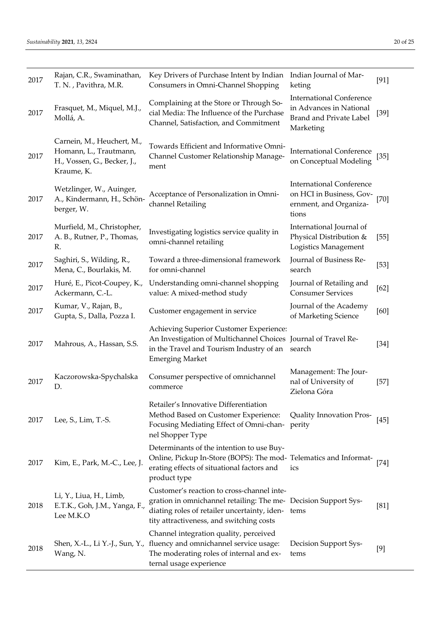| 2017 | Rajan, C.R., Swaminathan,<br>T. N., Pavithra, M.R.                                                | Key Drivers of Purchase Intent by Indian<br>Consumers in Omni-Channel Shopping                                                                                                                                 | Indian Journal of Mar-<br>keting                                                                          | $[91]$ |
|------|---------------------------------------------------------------------------------------------------|----------------------------------------------------------------------------------------------------------------------------------------------------------------------------------------------------------------|-----------------------------------------------------------------------------------------------------------|--------|
| 2017 | Frasquet, M., Miquel, M.J.,<br>Mollá, A.                                                          | Complaining at the Store or Through So-<br>cial Media: The Influence of the Purchase<br>Channel, Satisfaction, and Commitment                                                                                  | <b>International Conference</b><br>in Advances in National<br><b>Brand and Private Label</b><br>Marketing | $[39]$ |
| 2017 | Carnein, M., Heuchert, M.,<br>Homann, L., Trautmann,<br>H., Vossen, G., Becker, J.,<br>Kraume, K. | Towards Efficient and Informative Omni-<br>Channel Customer Relationship Manage-<br>ment                                                                                                                       | <b>International Conference</b><br>on Conceptual Modeling                                                 | [35]   |
| 2017 | Wetzlinger, W., Auinger,<br>A., Kindermann, H., Schön-<br>berger, W.                              | Acceptance of Personalization in Omni-<br>channel Retailing                                                                                                                                                    | <b>International Conference</b><br>on HCI in Business, Gov-<br>ernment, and Organiza-<br>tions            | $[70]$ |
| 2017 | Murfield, M., Christopher,<br>A. B., Rutner, P., Thomas,<br>R.                                    | Investigating logistics service quality in<br>omni-channel retailing                                                                                                                                           | International Journal of<br>Physical Distribution &<br>Logistics Management                               | $[55]$ |
| 2017 | Saghiri, S., Wilding, R.,<br>Mena, C., Bourlakis, M.                                              | Toward a three-dimensional framework<br>for omni-channel                                                                                                                                                       | Journal of Business Re-<br>search                                                                         | $[53]$ |
| 2017 | Huré, E., Picot-Coupey, K.,<br>Ackermann, C.-L.                                                   | Understanding omni-channel shopping<br>value: A mixed-method study                                                                                                                                             | Journal of Retailing and<br><b>Consumer Services</b>                                                      | $[62]$ |
| 2017 | Kumar, V., Rajan, B.,<br>Gupta, S., Dalla, Pozza I.                                               | Customer engagement in service                                                                                                                                                                                 | Journal of the Academy<br>of Marketing Science                                                            | [60]   |
| 2017 | Mahrous, A., Hassan, S.S.                                                                         | Achieving Superior Customer Experience:<br>An Investigation of Multichannel Choices Journal of Travel Re-<br>in the Travel and Tourism Industry of an<br><b>Emerging Market</b>                                | search                                                                                                    | $[34]$ |
| 2017 | Kaczorowska-Spychalska<br>D.                                                                      | Consumer perspective of omnichannel<br>commerce                                                                                                                                                                | Management: The Jour-<br>nal of University of<br>Zielona Góra                                             | $[57]$ |
| 2017 | Lee, S., Lim, T.-S.                                                                               | Retailer's Innovative Differentiation<br>Method Based on Customer Experience:<br>Focusing Mediating Effect of Omni-chan-<br>nel Shopper Type                                                                   | Quality Innovation Pros-<br>perity                                                                        | $[45]$ |
| 2017 | Kim, E., Park, M.-C., Lee, J.                                                                     | Determinants of the intention to use Buy-<br>Online, Pickup In-Store (BOPS): The mod- Telematics and Informat-<br>erating effects of situational factors and<br>product type                                   | ics                                                                                                       | $[74]$ |
| 2018 | Li, Y., Liua, H., Limb,<br>E.T.K., Goh, J.M., Yanga, F.,<br>Lee M.K.O                             | Customer's reaction to cross-channel inte-<br>gration in omnichannel retailing: The me- Decision Support Sys-<br>diating roles of retailer uncertainty, iden- tems<br>tity attractiveness, and switching costs |                                                                                                           | [81]   |
| 2018 | Wang, N.                                                                                          | Channel integration quality, perceived<br>Shen, X.-L., Li Y.-J., Sun, Y., fluency and omnichannel service usage:<br>The moderating roles of internal and ex-<br>ternal usage experience                        | Decision Support Sys-<br>tems                                                                             | $[9]$  |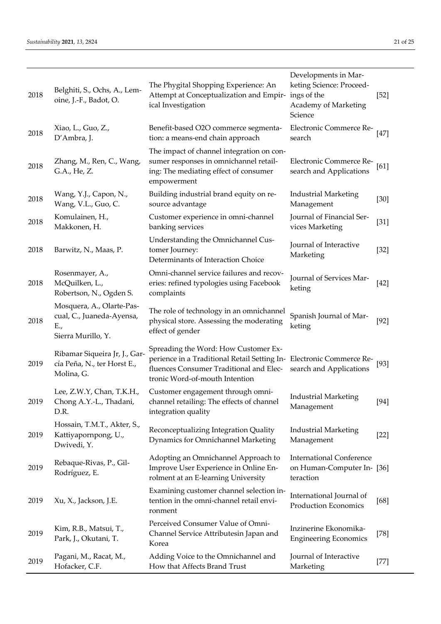| 2018 | Belghiti, S., Ochs, A., Lem-<br>oine, J.-F., Badot, O.                              | The Phygital Shopping Experience: An<br>Attempt at Conceptualization and Empir-<br>ical Investigation                                                                                     | Developments in Mar-<br>keting Science: Proceed-<br>ings of the<br>Academy of Marketing<br>Science | $[52]$ |
|------|-------------------------------------------------------------------------------------|-------------------------------------------------------------------------------------------------------------------------------------------------------------------------------------------|----------------------------------------------------------------------------------------------------|--------|
| 2018 | Xiao, L., Guo, Z.,<br>D'Ambra, J.                                                   | Benefit-based O2O commerce segmenta-<br>tion: a means-end chain approach                                                                                                                  | Electronic Commerce Re-<br>search                                                                  | $[47]$ |
| 2018 | Zhang, M., Ren, C., Wang,<br>G.A., He, Z.                                           | The impact of channel integration on con-<br>sumer responses in omnichannel retail-<br>ing: The mediating effect of consumer<br>empowerment                                               | Electronic Commerce Re-<br>search and Applications                                                 | [61]   |
| 2018 | Wang, Y.J., Capon, N.,<br>Wang, V.L., Guo, C.                                       | Building industrial brand equity on re-<br>source advantage                                                                                                                               | <b>Industrial Marketing</b><br>Management                                                          | $[30]$ |
| 2018 | Komulainen, H.,<br>Makkonen, H.                                                     | Customer experience in omni-channel<br>banking services                                                                                                                                   | Journal of Financial Ser-<br>vices Marketing                                                       | $[31]$ |
| 2018 | Barwitz, N., Maas, P.                                                               | Understanding the Omnichannel Cus-<br>tomer Journey:<br>Determinants of Interaction Choice                                                                                                | Journal of Interactive<br>Marketing                                                                | $[32]$ |
| 2018 | Rosenmayer, A.,<br>McQuilken, L.,<br>Robertson, N., Ogden S.                        | Omni-channel service failures and recov-<br>eries: refined typologies using Facebook<br>complaints                                                                                        | Journal of Services Mar-<br>keting                                                                 | $[42]$ |
| 2018 | Mosquera, A., Olarte-Pas-<br>cual, C., Juaneda-Ayensa,<br>E.,<br>Sierra Murillo, Y. | The role of technology in an omnichannel<br>physical store. Assessing the moderating<br>effect of gender                                                                                  | Spanish Journal of Mar-<br>keting                                                                  | $[92]$ |
| 2019 | Ribamar Siqueira Jr, J., Gar-<br>cía Peña, N., ter Horst E.,<br>Molina, G.          | Spreading the Word: How Customer Ex-<br>perience in a Traditional Retail Setting In- Electronic Commerce Re-<br>fluences Consumer Traditional and Elec-<br>tronic Word-of-mouth Intention | search and Applications                                                                            | $[93]$ |
| 2019 | Lee, Z.W.Y, Chan, T.K.H.,<br>Chong A.Y.-L., Thadani,<br>D.R.                        | Customer engagement through omni-<br>channel retailing: The effects of channel<br>integration quality                                                                                     | <b>Industrial Marketing</b><br>Management                                                          | $[94]$ |
| 2019 | Hossain, T.M.T., Akter, S.,<br>Kattiyapornpong, U.,<br>Dwivedi, Y.                  | Reconceptualizing Integration Quality<br>Dynamics for Omnichannel Marketing                                                                                                               | <b>Industrial Marketing</b><br>Management                                                          | $[22]$ |
| 2019 | Rebaque-Rivas, P., Gil-<br>Rodríguez, E.                                            | Adopting an Omnichannel Approach to<br>Improve User Experience in Online En-<br>rolment at an E-learning University                                                                       | <b>International Conference</b><br>on Human-Computer In-[36]<br>teraction                          |        |
| 2019 | Xu, X., Jackson, J.E.                                                               | Examining customer channel selection in-<br>tention in the omni-channel retail envi-<br>ronment                                                                                           | International Journal of<br><b>Production Economics</b>                                            | $[68]$ |
| 2019 | Kim, R.B., Matsui, T.,<br>Park, J., Okutani, T.                                     | Perceived Consumer Value of Omni-<br>Channel Service Attributesin Japan and<br>Korea                                                                                                      | Inzinerine Ekonomika-<br><b>Engineering Economics</b>                                              | $[78]$ |
| 2019 | Pagani, M., Racat, M.,<br>Hofacker, C.F.                                            | Adding Voice to the Omnichannel and<br>How that Affects Brand Trust                                                                                                                       | Journal of Interactive<br>Marketing                                                                | $[77]$ |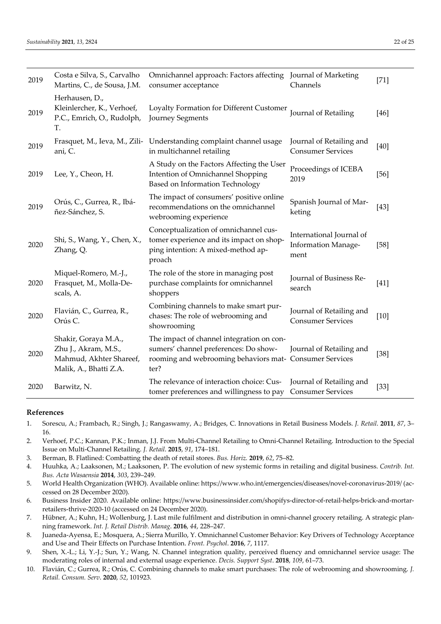| 2019 | Costa e Silva, S., Carvalho<br>Martins, C., de Sousa, J.M.                                        | Omnichannel approach: Factors affecting Journal of Marketing<br>consumer acceptance                                                                   | Channels                                                | $[71]$ |
|------|---------------------------------------------------------------------------------------------------|-------------------------------------------------------------------------------------------------------------------------------------------------------|---------------------------------------------------------|--------|
| 2019 | Herhausen, D.,<br>Kleinlercher, K., Verhoef,<br>P.C., Emrich, O., Rudolph,<br>Т.                  | Loyalty Formation for Different Customer<br>Journey Segments                                                                                          | Journal of Retailing                                    | $[46]$ |
| 2019 | ani, C.                                                                                           | Frasquet, M., Ieva, M., Zili- Understanding complaint channel usage<br>in multichannel retailing                                                      | Journal of Retailing and<br><b>Consumer Services</b>    | $[40]$ |
| 2019 | Lee, Y., Cheon, H.                                                                                | A Study on the Factors Affecting the User<br>Intention of Omnichannel Shopping<br>Based on Information Technology                                     | Proceedings of ICEBA<br>2019                            | $[56]$ |
| 2019 | Orús, C., Gurrea, R., Ibá-<br>ñez-Sánchez, S.                                                     | The impact of consumers' positive online<br>recommendations on the omnichannel<br>webrooming experience                                               | Spanish Journal of Mar-<br>keting                       | $[43]$ |
| 2020 | Shi, S., Wang, Y., Chen, X.,<br>Zhang, Q.                                                         | Conceptualization of omnichannel cus-<br>tomer experience and its impact on shop-<br>ping intention: A mixed-method ap-<br>proach                     | International Journal of<br>Information Manage-<br>ment | $[58]$ |
| 2020 | Miquel-Romero, M.-J.,<br>Frasquet, M., Molla-De-<br>scals, A.                                     | The role of the store in managing post<br>purchase complaints for omnichannel<br>shoppers                                                             | Journal of Business Re-<br>search                       | $[41]$ |
| 2020 | Flavián, C., Gurrea, R.,<br>Orús C.                                                               | Combining channels to make smart pur-<br>chases: The role of webrooming and<br>showrooming                                                            | Journal of Retailing and<br><b>Consumer Services</b>    | $[10]$ |
| 2020 | Shakir, Goraya M.A.,<br>Zhu J., Akram, M.S.,<br>Mahmud, Akhter Shareef,<br>Malik, A., Bhatti Z.A. | The impact of channel integration on con-<br>sumers' channel preferences: Do show-<br>rooming and webrooming behaviors mat- Consumer Services<br>ter? | Journal of Retailing and                                | $[38]$ |
| 2020 | Barwitz, N.                                                                                       | The relevance of interaction choice: Cus-<br>tomer preferences and willingness to pay                                                                 | Journal of Retailing and<br><b>Consumer Services</b>    | $[33]$ |

## **References**

- 1. Sorescu, A.; Frambach, R.; Singh, J.; Rangaswamy, A.; Bridges, C. Innovations in Retail Business Models. *J. Retail*. **2011**, *87*, 3– 16.
- 2. Verhoef, P.C.; Kannan, P.K.; Inman, J.J. From Multi-Channel Retailing to Omni-Channel Retailing. Introduction to the Special Issue on Multi‐Channel Retailing. *J. Retail*. **2015**, *91*, 174–181.
- 3. Berman, B. Flatlined: Combatting the death of retail stores. *Bus. Horiz.* **2019**, *62*, 75–82.
- 4. Huuhka, A.; Laaksonen, M.; Laaksonen, P. The evolution of new systemic forms in retailing and digital business. *Contrib. Int. Bus. Acta Wasaensia* **2014**, *303*, 239–249.
- 5. World Health Organization (WHO). Available online: https://www.who.int/emergencies/diseases/novel-coronavirus-2019/ (accessed on 28 December 2020).
- 6. Business Insider 2020. Available online: https://www.businessinsider.com/shopifys‐director‐of‐retail‐helps‐brick‐and‐mortar‐ retailers‐thrive‐2020‐10 (accessed on 24 December 2020).
- 7. Hübner, A.; Kuhn, H.; Wollenburg, J. Last mile fulfilment and distribution in omni-channel grocery retailing. A strategic planning framework. *Int. J. Retail Distrib. Manag*. **2016**, *44*, 228–247.
- 8. Juaneda‐Ayensa, E.; Mosquera, A.; Sierra Murillo, Y. Omnichannel Customer Behavior: Key Drivers of Technology Acceptance and Use and Their Effects on Purchase Intention. *Front. Psychol*. **2016**, *7*, 1117.
- 9. Shen, X.-L.; Li, Y.-J.; Sun, Y.; Wang, N. Channel integration quality, perceived fluency and omnichannel service usage: The moderating roles of internal and external usage experience. *Decis. Support Syst*. **2018**, *109*, 61–73.
- 10. Flavián, C.; Gurrea, R.; Orús, C. Combining channels to make smart purchases: The role of webrooming and showrooming. *J. Retail. Consum. Serv*. **2020**, *52*, 101923.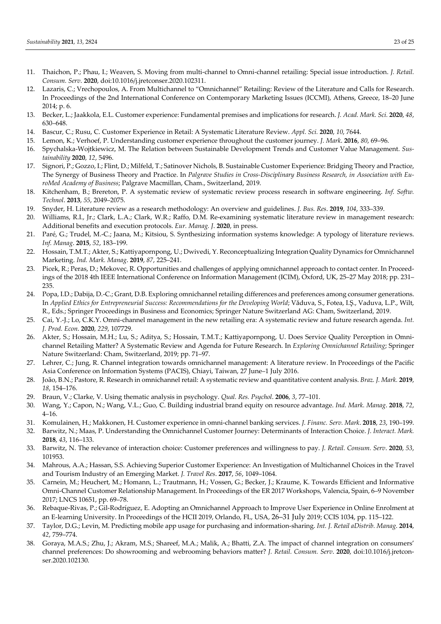- 11. Thaichon, P.; Phau, I.; Weaven, S. Moving from multi‐channel to Omni‐channel retailing: Special issue introduction. *J. Retail. Consum. Serv*. **2020**, doi:10.1016/j.jretconser.2020.102311.
- 12. Lazaris, C.; Vrechopoulos, A. From Multichannel to "Omnichannel" Retailing: Review of the Literature and Calls for Research. In Proceedings of the 2nd International Conference on Contemporary Marketing Issues (ICCMI), Athens, Greece, 18–20 June 2014; p. 6.
- 13. Becker, L.; Jaakkola, E.L. Customer experience: Fundamental premises and implications for research. *J. Acad. Mark. Sci.* **2020**, *48*, 630–648.
- 14. Bascur, C.; Rusu, C. Customer Experience in Retail: A Systematic Literature Review. *Appl. Sci.* **2020**, *10*, 7644.
- 15. Lemon, K.; Verhoef, P. Understanding customer experience throughout the customer journey. *J. Mark*. **2016**, *80*, 69–96.
- 16. Spychalska‐Wojtkiewicz, M. The Relation between Sustainable Development Trends and Customer Value Management. *Sus‐ tainability* **2020**, *12*, 5496.
- 17. Signori, P.; Gozzo, I.; Flint, D.; Milfeld, T.; Satinover Nichols, B. Sustainable Customer Experience: Bridging Theory and Practice, The Synergy of Business Theory and Practice. In *Palgrave Studies in Cross‐Disciplinary Business Research, in Association with Eu‐ roMed Academy of Business*; Palgrave Macmillan, Cham., Switzerland, 2019.
- 18. Kitchenham, B.; Brereton, P. A systematic review of systematic review process research in software engineering. *Inf. Softw. Technol*. **2013**, *55*, 2049–2075.
- 19. Snyder, H. Literature review as a research methodology: An overview and guidelines. *J. Bus. Res*. **2019**, *104*, 333–339.
- 20. Williams, R.I., Jr.; Clark, L.A.; Clark, W.R.; Raffo, D.M. Re‐examining systematic literature review in management research: Additional benefits and execution protocols. *Eur. Manag. J*. **2020**, in press.
- 21. Paré, G.; Trudel, M.‐C.; Jaana, M.; Kitsiou, S. Synthesizing information systems knowledge: A typology of literature reviews. *Inf. Manag*. **2015**, *52*, 183–199.
- 22. Hossain, T.M.T.; Akter, S.; Kattiyapornpong, U.; Dwivedi, Y. Reconceptualizing Integration Quality Dynamics for Omnichannel Marketing. *Ind. Mark. Manag*. **2019**, *87*, 225–241.
- 23. Picek, R.; Peras, D.; Mekovec, R. Opportunities and challenges of applying omnichannel approach to contact center. In Proceed‐ ings of the 2018 4th IEEE International Conference on Information Management (ICIM), Oxford, UK, 25–27 May 2018; pp. 231– 235.
- 24. Popa, I.D.; Dabija, D.-C.; Grant, D.B. Exploring omnichannel retailing differences and preferences among consumer generations. In *Applied Ethics for Entrepreneurial Success: Recommendations for the Developing World*; Văduva, S., Fotea, I.Ş., Vaduva, L.P., Wilt, R., Eds.; Springer Proceedings in Business and Economics; Springer Nature Switzerland AG: Cham, Switzerland, 2019.
- 25. Cai, Y.‐J.; Lo, C.K.Y. Omni‐channel management in the new retailing era: A systematic review and future research agenda. *Int. J. Prod. Econ*. **2020**, *229*, 107729.
- 26. Akter, S.; Hossain, M.H.; Lu, S.; Aditya, S.; Hossain, T.M.T.; Kattiyapornpong, U. Does Service Quality Perception in Omnichannel Retailing Matter? A Systematic Review and Agenda for Future Research. In *Exploring Omnichannel Retailing*; Springer Nature Switzerland: Cham, Switzerland, 2019; pp. 71–97.
- 27. Lehrer, C.; Jung, R. Channel integration towards omnichannel management: A literature review. In Proceedings of the Pacific Asia Conference on Information Systems (PACIS), Chiayi, Taiwan, 27 June–1 July 2016.
- 28. João, B.N.; Pastore, R. Research in omnichannel retail: A systematic review and quantitative content analysis. *Braz. J. Mark.* **2019**, *18*, 154–176.
- 29. Braun, V.; Clarke, V. Using thematic analysis in psychology. *Qual. Res. Psychol*. **2006**, *3*, 77–101.
- 30. Wang, Y.; Capon, N.; Wang, V.L.; Guo, C. Building industrial brand equity on resource advantage. *Ind. Mark. Manag*. **2018**, *72*, 4–16.
- 31. Komulainen, H.; Makkonen, H. Customer experience in omni‐channel banking services. *J. Financ. Serv. Mark*. **2018**, *23*, 190–199.
- 32. Barwitz, N.; Maas, P. Understanding the Omnichannel Customer Journey: Determinants of Interaction Choice. *J. Interact. Mark.* **2018**, *43*, 116–133.
- 33. Barwitz, N. The relevance of interaction choice: Customer preferences and willingness to pay. *J. Retail. Consum. Serv*. **2020**, *53*, 101953.
- 34. Mahrous, A.A.; Hassan, S.S. Achieving Superior Customer Experience: An Investigation of Multichannel Choices in the Travel and Tourism Industry of an Emerging Market. *J. Travel Res*. **2017**, *56*, 1049–1064.
- 35. Carnein, M.; Heuchert, M.; Homann, L.; Trautmann, H.; Vossen, G.; Becker, J.; Kraume, K. Towards Efficient and Informative Omni-Channel Customer Relationship Management. In Proceedings of the ER 2017 Workshops, Valencia, Spain, 6–9 November 2017; LNCS 10651, pp. 69–78.
- 36. Rebaque‐Rivas, P.; Gil‐Rodríguez, E. Adopting an Omnichannel Approach to Improve User Experience in Online Enrolment at an E‐learning University. In Proceedings of the HCII 2019, Orlando, FL, USA, 26–31 July 2019; CCIS 1034, pp. 115–122.
- 37. Taylor, D.G.; Levin, M. Predicting mobile app usage for purchasing and information‐sharing. *Int. J. Retail aDistrib. Manag*. **2014**, *42*, 759–774.
- 38. Goraya, M.A.S.; Zhu, J.; Akram, M.S.; Shareef, M.A.; Malik, A.; Bhatti, Z.A. The impact of channel integration on consumers' channel preferences: Do showrooming and webrooming behaviors matter? *J. Retail. Consum. Serv*. **2020**, doi:10.1016/j.jretcon‐ ser.2020.102130.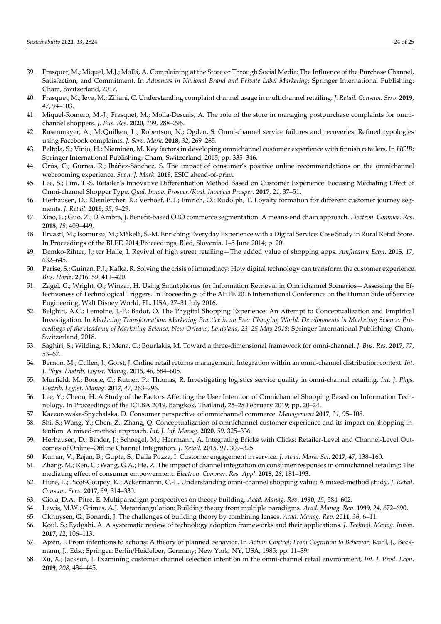- 39. Frasquet, M.; Miquel, M.J.; Mollá, A. Complaining at the Store or Through Social Media: The Influence of the Purchase Channel, Satisfaction, and Commitment. In *Advances in National Brand and Private Label Marketing*; Springer International Publishing: Cham, Switzerland, 2017.
- 40. Frasquet, M.; Ieva, M.; Ziliani, C. Understanding complaint channel usage in multichannel retailing. *J. Retail. Consum. Serv.* **2019**, *47*, 94–103.
- 41. Miquel-Romero, M.-J.; Frasquet, M.; Molla-Descals, A. The role of the store in managing postpurchase complaints for omnichannel shoppers. *J. Bus. Res*. **2020**, *109*, 288–296.
- 42. Rosenmayer, A.; McQuilken, L.; Robertson, N.; Ogden, S. Omni‐channel service failures and recoveries: Refined typologies using Facebook complaints. *J. Serv. Mark*. **2018**, *32*, 269–285.
- 43. Peltola, S.; Vinio, H.; Nieminen, M. Key factors in developing omnichannel customer experience with finnish retailers. In *HCIB*; Springer International Publishing: Cham, Switzerland, 2015; pp. 335–346.
- 44. Orús, C.; Gurrea, R.; Ibáñez‐Sánchez, S. The impact of consumer's positive online recommendations on the omnichannel webrooming experience. *Span. J. Mark*. **2019**, ESIC ahead‐of‐print.
- 45. Lee, S.; Lim, T.‐S. Retailer's Innovative Differentiation Method Based on Customer Experience: Focusing Mediating Effect of Omni‐channel Shopper Type. *Qual. Innov. Prosper./Kval. Inovácia Prosper*. **2017**, *21*, 37–51.
- 46. Herhausen, D.; Kleinlercher, K.; Verhoef, P.T.; Emrich, O.; Rudolph, T. Loyalty formation for different customer journey seg‐ ments. *J. Retail*. **2019**, *95*, 9–29.
- 47. Xiao, L.; Guo, Z.; D'Ambra, J. Benefit‐based O2O commerce segmentation: A means‐end chain approach. *Electron. Commer. Res*. **2018**, *19*, 409–449.
- 48. Ervasti, M.; Isomursu, M.; Mäkelä, S.‐M. Enriching Everyday Experience with a Digital Service: Case Study in Rural Retail Store. In Proceedings of the BLED 2014 Proceedings, Bled, Slovenia, 1–5 June 2014; p. 20.
- 49. Demko‐Rihter, J.; ter Halle, I. Revival of high street retailing—The added value of shopping apps. *Amfiteatru Econ*. **2015**, *17*, 632–645.
- 50. Parise, S.; Guinan, P.J.; Kafka, R. Solving the crisis of immediacy: How digital technology can transform the customer experience. *Bus. Horiz*. **2016**, *59*, 411–420.
- 51. Zagel, C.; Wright, O.; Winzar, H. Using Smartphones for Information Retrieval in Omnichannel Scenarios—Assessing the Ef‐ fectiveness of Technological Triggers. In Proceedings of the AHFE 2016 International Conference on the Human Side of Service Engineering, Walt Disney World, FL, USA, 27–31 July 2016.
- 52. Belghiti, A.C.; Lemoine, J.‐F.; Badot, O. The Phygital Shopping Experience: An Attempt to Conceptualization and Empirical Investigation. In Marketing Transformation: Marketing Practice in an Ever Changing World, Developments in Marketing Science, Pro*ceedings of the Academy of Marketing Science, New Orleans, Louisiana, 23–25 May 2018*; Springer International Publishing: Cham, Switzerland, 2018.
- 53. Saghiri, S.; Wilding, R.; Mena, C.; Bourlakis, M. Toward a three‐dimensional framework for omni‐channel. *J. Bus. Res.* **2017**, *77*, 53–67.
- 54. Bernon, M.; Cullen, J.; Gorst, J. Online retail returns management. Integration within an omni‐channel distribution context. *Int. J. Phys. Distrib. Logist. Manag.* **2015**, *46*, 584–605.
- 55. Murfield, M.; Boone, C.; Rutner, P.; Thomas, R. Investigating logistics service quality in omni‐channel retailing. *Int. J. Phys. Distrib. Logist. Manag.* **2017**, *47*, 263–296.
- 56. Lee, Y.; Cheon, H. A Study of the Factors Affecting the User Intention of Omnichannel Shopping Based on Information Tech‐ nology. In Proceedings of the ICEBA 2019, Bangkok, Thailand, 25–28 February 2019; pp. 20–24.
- 57. Kaczorowska‐Spychalska, D. Consumer perspective of omnichannel commerce. *Management* **2017**, *21*, 95–108.
- 58. Shi, S.; Wang, Y.; Chen, Z.; Zhang, Q. Conceptualization of omnichannel customer experience and its impact on shopping intention: A mixed‐method approach. *Int. J. Inf. Manag*. **2020**, *50*, 325–336.
- 59. Herhausen, D.; Binder, J.; Schoegel, M.; Herrmann, A. Integrating Bricks with Clicks: Retailer-Level and Channel-Level Outcomes of Online–Offline Channel Integration. *J. Retail*. **2015**, *91*, 309–325.
- 60. Kumar, V.; Rajan, B.; Gupta, S.; Dalla Pozza, I. Customer engagement in service. *J. Acad. Mark. Sci*. **2017**, *47*, 138–160.
- 61. Zhang, M.; Ren, C.; Wang, G.A.; He, Z. The impact of channel integration on consumer responses in omnichannel retailing: The mediating effect of consumer empowerment. *Electron. Commer. Res. Appl*. **2018**, *28*, 181–193.
- 62. Huré, E.; Picot‐Coupey, K.; Ackermannn, C.‐L. Understanding omni‐channel shopping value: A mixed‐method study. *J. Retail. Consum. Serv.* **2017**, *39*, 314–330.
- 63. Gioia, D.A.; Pitre, E. Multiparadigm perspectives on theory building. *Acad. Manag. Rev*. **1990**, *15*, 584–602.
- 64. Lewis, M.W.; Grimes, A.J. Metatriangulation: Building theory from multiple paradigms. *Acad. Manag. Rev.* **1999**, *24*, 672–690.
- 65. Okhuysen, G.; Bonardi, J. The challenges of building theory by combining lenses. *Acad. Manag. Rev.* **2011**, *36*, 6–11.
- 66. Koul, S.; Eydgahi, A. A systematic review of technology adoption frameworks and their applications. *J. Technol. Manag. Innov*. **2017**, *12*, 106–113.
- 67. Ajzen, I. From intentions to actions: A theory of planned behavior. In *Action Control: From Cognition to Behavior*; Kuhl, J., Beck‐ mann, J., Eds.; Springer: Berlin/Heidelber, Germany; New York, NY, USA, 1985; pp. 11–39.
- 68. Xu, X.; Jackson, J. Examining customer channel selection intention in the omni‐channel retail environment, *Int. J. Prod. Econ*. **2019**, *208*, 434–445.